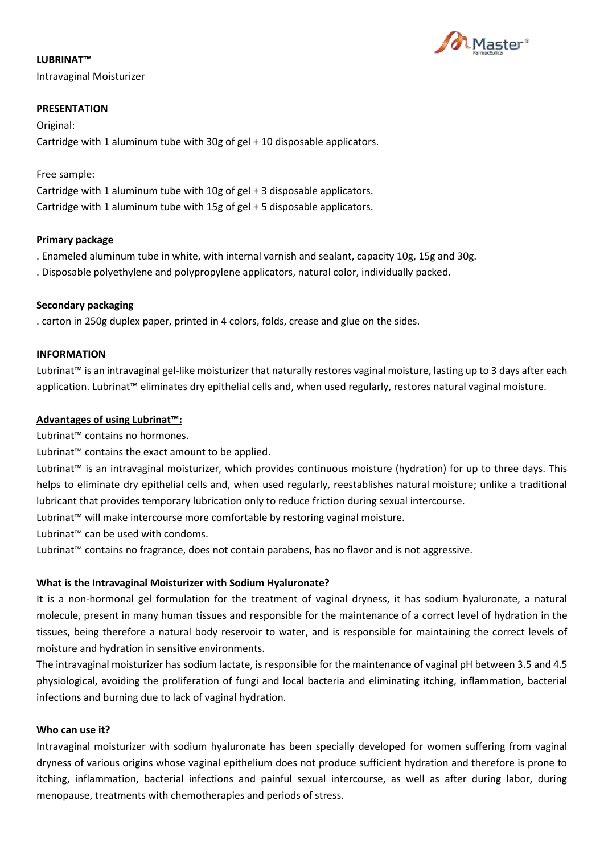

# **LUBRINAT™**

Intravaginal Moisturizer

## **PRESENTATION**

Original: Cartridge with 1 aluminum tube with 30g of gel + 10 disposable applicators.

## Free sample:

Cartridge with 1 aluminum tube with 10g of gel + 3 disposable applicators. Cartridge with 1 aluminum tube with 15g of gel + 5 disposable applicators.

## **Primary package**

. Enameled aluminum tube in white, with internal varnish and sealant, capacity 10g, 15g and 30g.

. Disposable polyethylene and polypropylene applicators, natural color, individually packed.

## **Secondary packaging**

. carton in 250g duplex paper, printed in 4 colors, folds, crease and glue on the sides.

## **INFORMATION**

Lubrinat™ is an intravaginal gel-like moisturizer that naturally restores vaginal moisture, lasting up to 3 days after each application. Lubrinat™ eliminates dry epithelial cells and, when used regularly, restores natural vaginal moisture.

## **Advantages of using Lubrinat™:**

Lubrinat™ contains no hormones.

Lubrinat™ contains the exact amount to be applied.

Lubrinat™ is an intravaginal moisturizer, which provides continuous moisture (hydration) for up to three days. This helps to eliminate dry epithelial cells and, when used regularly, reestablishes natural moisture; unlike a traditional lubricant that provides temporary lubrication only to reduce friction during sexual intercourse.

Lubrinat™ will make intercourse more comfortable by restoring vaginal moisture.

Lubrinat™ can be used with condoms.

Lubrinat™ contains no fragrance, does not contain parabens, has no flavor and is not aggressive.

# **What is the Intravaginal Moisturizer with Sodium Hyaluronate?**

It is a non-hormonal gel formulation for the treatment of vaginal dryness, it has sodium hyaluronate, a natural molecule, present in many human tissues and responsible for the maintenance of a correct level of hydration in the tissues, being therefore a natural body reservoir to water, and is responsible for maintaining the correct levels of moisture and hydration in sensitive environments.

The intravaginal moisturizer has sodium lactate, is responsible for the maintenance of vaginal pH between 3.5 and 4.5 physiological, avoiding the proliferation of fungi and local bacteria and eliminating itching, inflammation, bacterial infections and burning due to lack of vaginal hydration.

#### **Who can use it?**

Intravaginal moisturizer with sodium hyaluronate has been specially developed for women suffering from vaginal dryness of various origins whose vaginal epithelium does not produce sufficient hydration and therefore is prone to itching, inflammation, bacterial infections and painful sexual intercourse, as well as after during labor, during menopause, treatments with chemotherapies and periods of stress.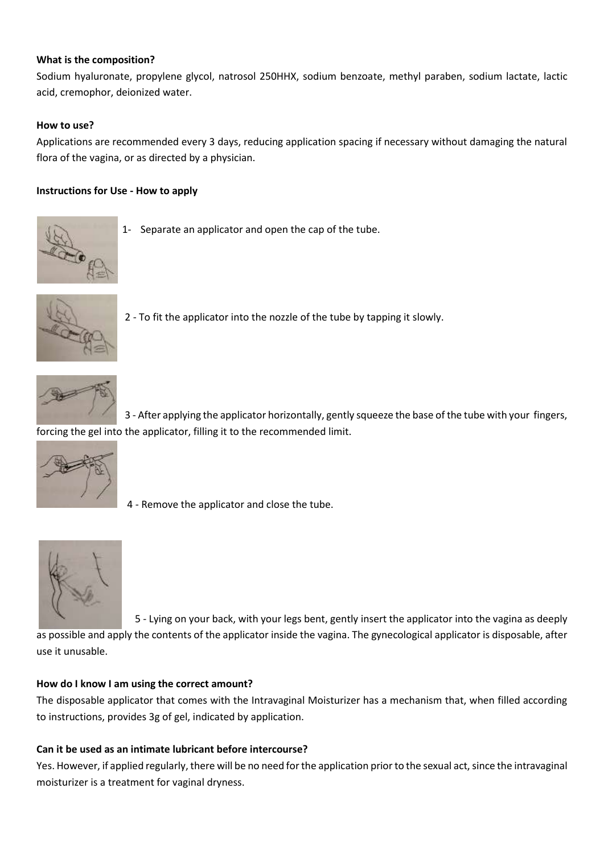## **What is the composition?**

Sodium hyaluronate, propylene glycol, natrosol 250HHX, sodium benzoate, methyl paraben, sodium lactate, lactic acid, cremophor, deionized water.

## **How to use?**

Applications are recommended every 3 days, reducing application spacing if necessary without damaging the natural flora of the vagina, or as directed by a physician.

## **Instructions for Use - How to apply**



1- Separate an applicator and open the cap of the tube.



2 - To fit the applicator into the nozzle of the tube by tapping it slowly.



 3 - After applying the applicator horizontally, gently squeeze the base of the tube with your fingers, forcing the gel into the applicator, filling it to the recommended limit.



4 - Remove the applicator and close the tube.



 5 - Lying on your back, with your legs bent, gently insert the applicator into the vagina as deeply as possible and apply the contents of the applicator inside the vagina. The gynecological applicator is disposable, after use it unusable.

#### **How do I know I am using the correct amount?**

The disposable applicator that comes with the Intravaginal Moisturizer has a mechanism that, when filled according to instructions, provides 3g of gel, indicated by application.

#### **Can it be used as an intimate lubricant before intercourse?**

Yes. However, if applied regularly, there will be no need for the application prior to the sexual act, since the intravaginal moisturizer is a treatment for vaginal dryness.